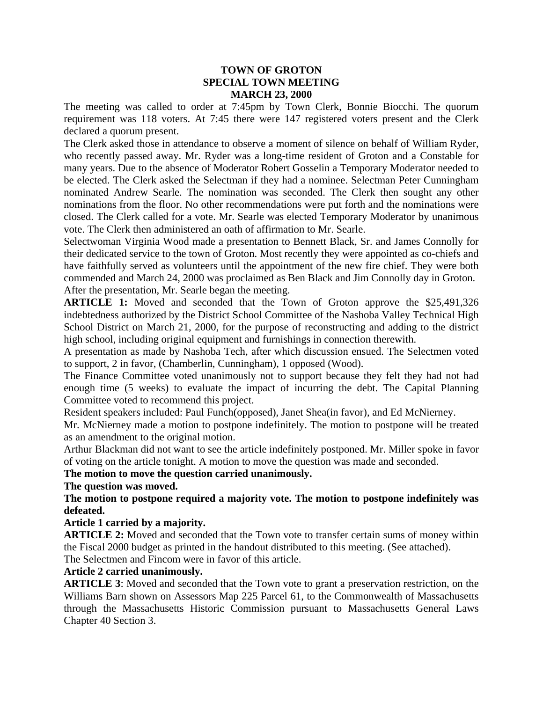#### **TOWN OF GROTON SPECIAL TOWN MEETING MARCH 23, 2000**

The meeting was called to order at 7:45pm by Town Clerk, Bonnie Biocchi. The quorum requirement was 118 voters. At 7:45 there were 147 registered voters present and the Clerk declared a quorum present.

The Clerk asked those in attendance to observe a moment of silence on behalf of William Ryder, who recently passed away. Mr. Ryder was a long-time resident of Groton and a Constable for many years. Due to the absence of Moderator Robert Gosselin a Temporary Moderator needed to be elected. The Clerk asked the Selectman if they had a nominee. Selectman Peter Cunningham nominated Andrew Searle. The nomination was seconded. The Clerk then sought any other nominations from the floor. No other recommendations were put forth and the nominations were closed. The Clerk called for a vote. Mr. Searle was elected Temporary Moderator by unanimous vote. The Clerk then administered an oath of affirmation to Mr. Searle.

Selectwoman Virginia Wood made a presentation to Bennett Black, Sr. and James Connolly for their dedicated service to the town of Groton. Most recently they were appointed as co-chiefs and have faithfully served as volunteers until the appointment of the new fire chief. They were both commended and March 24, 2000 was proclaimed as Ben Black and Jim Connolly day in Groton. After the presentation, Mr. Searle began the meeting.

**ARTICLE 1:** Moved and seconded that the Town of Groton approve the \$25,491,326 indebtedness authorized by the District School Committee of the Nashoba Valley Technical High School District on March 21, 2000, for the purpose of reconstructing and adding to the district high school, including original equipment and furnishings in connection therewith.

A presentation as made by Nashoba Tech, after which discussion ensued. The Selectmen voted to support, 2 in favor, (Chamberlin, Cunningham), 1 opposed (Wood).

The Finance Committee voted unanimously not to support because they felt they had not had enough time (5 weeks) to evaluate the impact of incurring the debt. The Capital Planning Committee voted to recommend this project.

Resident speakers included: Paul Funch(opposed), Janet Shea(in favor), and Ed McNierney.

Mr. McNierney made a motion to postpone indefinitely. The motion to postpone will be treated as an amendment to the original motion.

Arthur Blackman did not want to see the article indefinitely postponed. Mr. Miller spoke in favor of voting on the article tonight. A motion to move the question was made and seconded.

### **The motion to move the question carried unanimously.**

**The question was moved.** 

### **The motion to postpone required a majority vote. The motion to postpone indefinitely was defeated.**

### **Article 1 carried by a majority.**

**ARTICLE 2:** Moved and seconded that the Town vote to transfer certain sums of money within the Fiscal 2000 budget as printed in the handout distributed to this meeting. (See attached).

The Selectmen and Fincom were in favor of this article.

### **Article 2 carried unanimously.**

**ARTICLE 3**: Moved and seconded that the Town vote to grant a preservation restriction, on the Williams Barn shown on Assessors Map 225 Parcel 61, to the Commonwealth of Massachusetts through the Massachusetts Historic Commission pursuant to Massachusetts General Laws Chapter 40 Section 3.